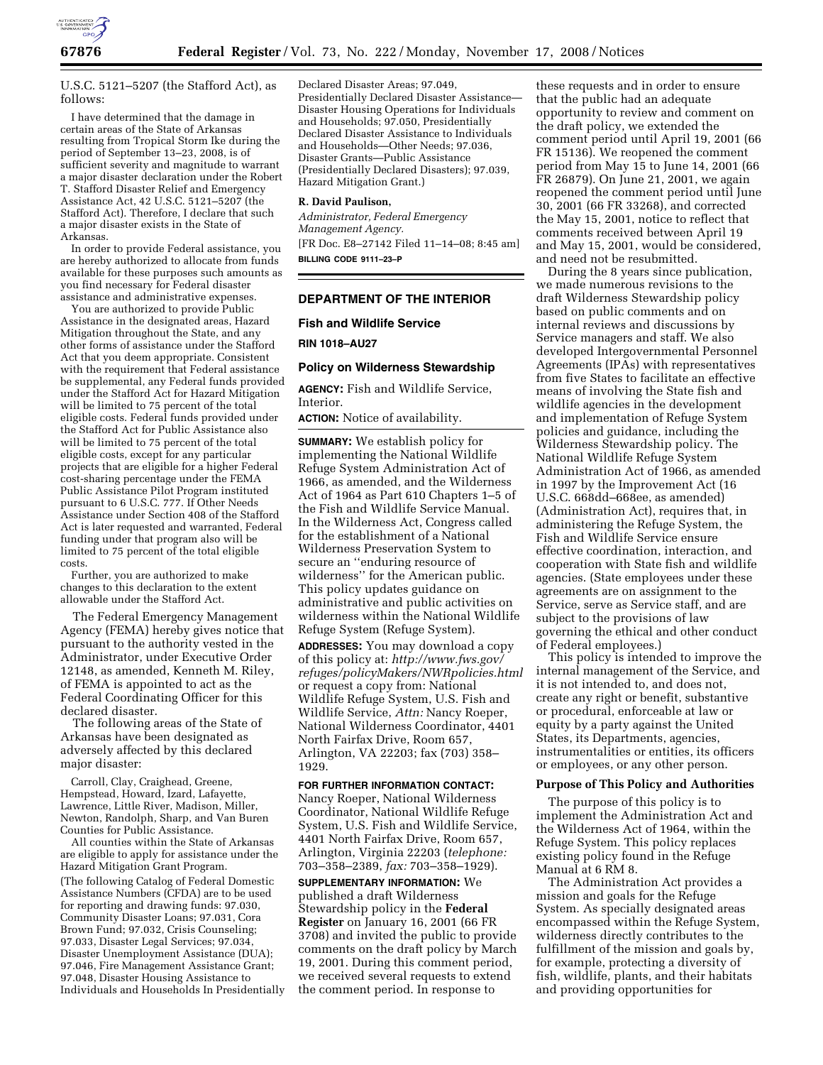

U.S.C. 5121–5207 (the Stafford Act), as follows:

I have determined that the damage in certain areas of the State of Arkansas resulting from Tropical Storm Ike during the period of September 13–23, 2008, is of sufficient severity and magnitude to warrant a major disaster declaration under the Robert T. Stafford Disaster Relief and Emergency Assistance Act, 42 U.S.C. 5121–5207 (the Stafford Act). Therefore, I declare that such a major disaster exists in the State of Arkansas.

In order to provide Federal assistance, you are hereby authorized to allocate from funds available for these purposes such amounts as you find necessary for Federal disaster assistance and administrative expenses.

You are authorized to provide Public Assistance in the designated areas, Hazard Mitigation throughout the State, and any other forms of assistance under the Stafford Act that you deem appropriate. Consistent with the requirement that Federal assistance be supplemental, any Federal funds provided under the Stafford Act for Hazard Mitigation will be limited to 75 percent of the total eligible costs. Federal funds provided under the Stafford Act for Public Assistance also will be limited to 75 percent of the total eligible costs, except for any particular projects that are eligible for a higher Federal cost-sharing percentage under the FEMA Public Assistance Pilot Program instituted pursuant to 6 U.S.C. 777. If Other Needs Assistance under Section 408 of the Stafford Act is later requested and warranted, Federal funding under that program also will be limited to 75 percent of the total eligible costs.

Further, you are authorized to make changes to this declaration to the extent allowable under the Stafford Act.

The Federal Emergency Management Agency (FEMA) hereby gives notice that pursuant to the authority vested in the Administrator, under Executive Order 12148, as amended, Kenneth M. Riley, of FEMA is appointed to act as the Federal Coordinating Officer for this declared disaster.

The following areas of the State of Arkansas have been designated as adversely affected by this declared major disaster:

Carroll, Clay, Craighead, Greene, Hempstead, Howard, Izard, Lafayette, Lawrence, Little River, Madison, Miller, Newton, Randolph, Sharp, and Van Buren Counties for Public Assistance.

All counties within the State of Arkansas are eligible to apply for assistance under the Hazard Mitigation Grant Program. (The following Catalog of Federal Domestic Assistance Numbers (CFDA) are to be used for reporting and drawing funds: 97.030, Community Disaster Loans; 97.031, Cora Brown Fund; 97.032, Crisis Counseling; 97.033, Disaster Legal Services; 97.034, Disaster Unemployment Assistance (DUA); 97.046, Fire Management Assistance Grant; 97.048, Disaster Housing Assistance to Individuals and Households In Presidentially Declared Disaster Areas; 97.049, Presidentially Declared Disaster Assistance— Disaster Housing Operations for Individuals and Households; 97.050, Presidentially Declared Disaster Assistance to Individuals and Households—Other Needs; 97.036, Disaster Grants—Public Assistance (Presidentially Declared Disasters); 97.039, Hazard Mitigation Grant.)

#### **R. David Paulison,**

*Administrator, Federal Emergency Management Agency.*  [FR Doc. E8–27142 Filed 11–14–08; 8:45 am] **BILLING CODE 9111–23–P** 

## **DEPARTMENT OF THE INTERIOR**

**Fish and Wildlife Service** 

**RIN 1018–AU27** 

#### **Policy on Wilderness Stewardship**

**AGENCY:** Fish and Wildlife Service, Interior.

**ACTION:** Notice of availability.

**SUMMARY:** We establish policy for implementing the National Wildlife Refuge System Administration Act of 1966, as amended, and the Wilderness Act of 1964 as Part 610 Chapters 1–5 of the Fish and Wildlife Service Manual. In the Wilderness Act, Congress called for the establishment of a National Wilderness Preservation System to secure an ''enduring resource of wilderness'' for the American public. This policy updates guidance on administrative and public activities on wilderness within the National Wildlife Refuge System (Refuge System).

**ADDRESSES:** You may download a copy of this policy at: *http://www.fws.gov/ refuges/policyMakers/NWRpolicies.html*  or request a copy from: National Wildlife Refuge System, U.S. Fish and Wildlife Service, *Attn:* Nancy Roeper, National Wilderness Coordinator, 4401 North Fairfax Drive, Room 657, Arlington, VA 22203; fax (703) 358– 1929.

## **FOR FURTHER INFORMATION CONTACT:**

Nancy Roeper, National Wilderness Coordinator, National Wildlife Refuge System, U.S. Fish and Wildlife Service, 4401 North Fairfax Drive, Room 657, Arlington, Virginia 22203 (*telephone:*  703–358–2389, *fax:* 703–358–1929).

**SUPPLEMENTARY INFORMATION:** We published a draft Wilderness Stewardship policy in the **Federal Register** on January 16, 2001 (66 FR 3708) and invited the public to provide comments on the draft policy by March 19, 2001. During this comment period, we received several requests to extend the comment period. In response to

these requests and in order to ensure that the public had an adequate opportunity to review and comment on the draft policy, we extended the comment period until April 19, 2001 (66 FR 15136). We reopened the comment period from May 15 to June 14, 2001 (66 FR 26879). On June 21, 2001, we again reopened the comment period until June 30, 2001 (66 FR 33268), and corrected the May 15, 2001, notice to reflect that comments received between April 19 and May 15, 2001, would be considered, and need not be resubmitted.

During the 8 years since publication, we made numerous revisions to the draft Wilderness Stewardship policy based on public comments and on internal reviews and discussions by Service managers and staff. We also developed Intergovernmental Personnel Agreements (IPAs) with representatives from five States to facilitate an effective means of involving the State fish and wildlife agencies in the development and implementation of Refuge System policies and guidance, including the Wilderness Stewardship policy. The National Wildlife Refuge System Administration Act of 1966, as amended in 1997 by the Improvement Act (16 U.S.C. 668dd–668ee, as amended) (Administration Act), requires that, in administering the Refuge System, the Fish and Wildlife Service ensure effective coordination, interaction, and cooperation with State fish and wildlife agencies. (State employees under these agreements are on assignment to the Service, serve as Service staff, and are subject to the provisions of law governing the ethical and other conduct of Federal employees.)

This policy is intended to improve the internal management of the Service, and it is not intended to, and does not, create any right or benefit, substantive or procedural, enforceable at law or equity by a party against the United States, its Departments, agencies, instrumentalities or entities, its officers or employees, or any other person.

### **Purpose of This Policy and Authorities**

The purpose of this policy is to implement the Administration Act and the Wilderness Act of 1964, within the Refuge System. This policy replaces existing policy found in the Refuge Manual at 6 RM 8.

The Administration Act provides a mission and goals for the Refuge System. As specially designated areas encompassed within the Refuge System, wilderness directly contributes to the fulfillment of the mission and goals by, for example, protecting a diversity of fish, wildlife, plants, and their habitats and providing opportunities for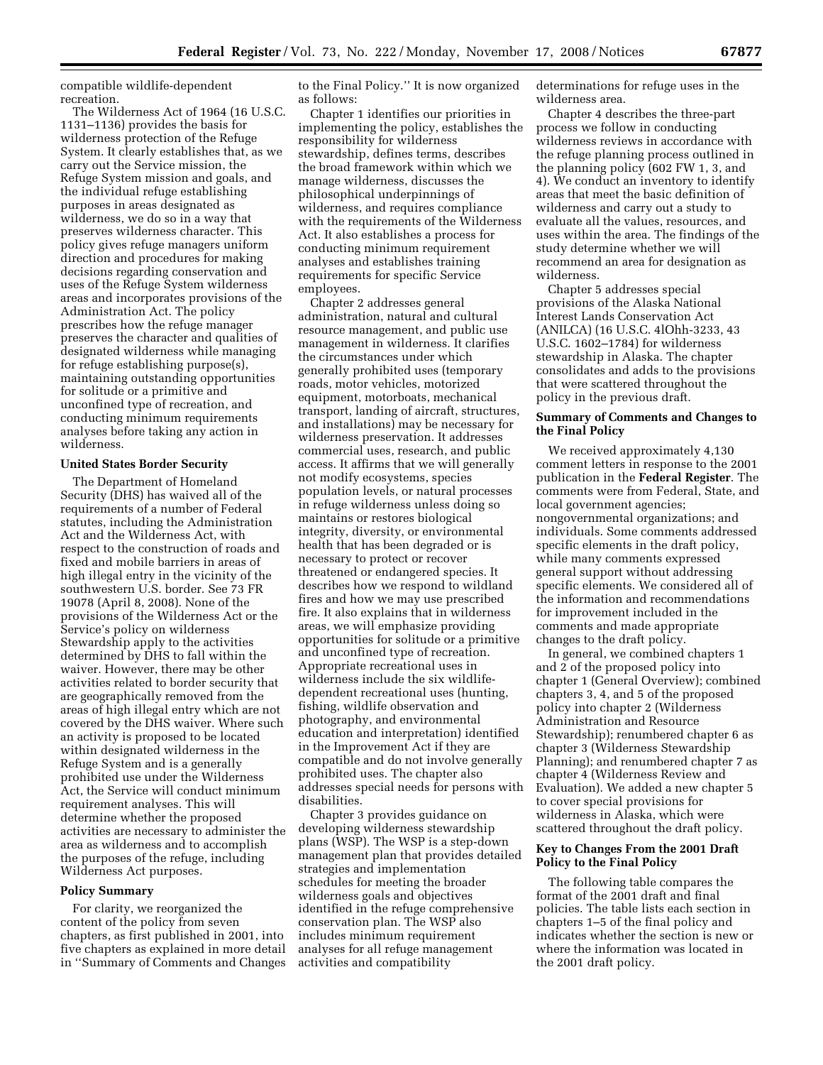compatible wildlife-dependent recreation.

The Wilderness Act of 1964 (16 U.S.C. 1131–1136) provides the basis for wilderness protection of the Refuge System. It clearly establishes that, as we carry out the Service mission, the Refuge System mission and goals, and the individual refuge establishing purposes in areas designated as wilderness, we do so in a way that preserves wilderness character. This policy gives refuge managers uniform direction and procedures for making decisions regarding conservation and uses of the Refuge System wilderness areas and incorporates provisions of the Administration Act. The policy prescribes how the refuge manager preserves the character and qualities of designated wilderness while managing for refuge establishing purpose(s), maintaining outstanding opportunities for solitude or a primitive and unconfined type of recreation, and conducting minimum requirements analyses before taking any action in wilderness.

### **United States Border Security**

The Department of Homeland Security (DHS) has waived all of the requirements of a number of Federal statutes, including the Administration Act and the Wilderness Act, with respect to the construction of roads and fixed and mobile barriers in areas of high illegal entry in the vicinity of the southwestern U.S. border. See 73 FR 19078 (April 8, 2008). None of the provisions of the Wilderness Act or the Service's policy on wilderness Stewardship apply to the activities determined by DHS to fall within the waiver. However, there may be other activities related to border security that are geographically removed from the areas of high illegal entry which are not covered by the DHS waiver. Where such an activity is proposed to be located within designated wilderness in the Refuge System and is a generally prohibited use under the Wilderness Act, the Service will conduct minimum requirement analyses. This will determine whether the proposed activities are necessary to administer the area as wilderness and to accomplish the purposes of the refuge, including Wilderness Act purposes.

### **Policy Summary**

For clarity, we reorganized the content of the policy from seven chapters, as first published in 2001, into five chapters as explained in more detail in ''Summary of Comments and Changes to the Final Policy.'' It is now organized as follows:

Chapter 1 identifies our priorities in implementing the policy, establishes the responsibility for wilderness stewardship, defines terms, describes the broad framework within which we manage wilderness, discusses the philosophical underpinnings of wilderness, and requires compliance with the requirements of the Wilderness Act. It also establishes a process for conducting minimum requirement analyses and establishes training requirements for specific Service employees.

Chapter 2 addresses general administration, natural and cultural resource management, and public use management in wilderness. It clarifies the circumstances under which generally prohibited uses (temporary roads, motor vehicles, motorized equipment, motorboats, mechanical transport, landing of aircraft, structures, and installations) may be necessary for wilderness preservation. It addresses commercial uses, research, and public access. It affirms that we will generally not modify ecosystems, species population levels, or natural processes in refuge wilderness unless doing so maintains or restores biological integrity, diversity, or environmental health that has been degraded or is necessary to protect or recover threatened or endangered species. It describes how we respond to wildland fires and how we may use prescribed fire. It also explains that in wilderness areas, we will emphasize providing opportunities for solitude or a primitive and unconfined type of recreation. Appropriate recreational uses in wilderness include the six wildlifedependent recreational uses (hunting, fishing, wildlife observation and photography, and environmental education and interpretation) identified in the Improvement Act if they are compatible and do not involve generally prohibited uses. The chapter also addresses special needs for persons with disabilities.

Chapter 3 provides guidance on developing wilderness stewardship plans (WSP). The WSP is a step-down management plan that provides detailed strategies and implementation schedules for meeting the broader wilderness goals and objectives identified in the refuge comprehensive conservation plan. The WSP also includes minimum requirement analyses for all refuge management activities and compatibility

determinations for refuge uses in the wilderness area.

Chapter 4 describes the three-part process we follow in conducting wilderness reviews in accordance with the refuge planning process outlined in the planning policy (602 FW 1, 3, and 4). We conduct an inventory to identify areas that meet the basic definition of wilderness and carry out a study to evaluate all the values, resources, and uses within the area. The findings of the study determine whether we will recommend an area for designation as wilderness.

Chapter 5 addresses special provisions of the Alaska National Interest Lands Conservation Act (ANILCA) (16 U.S.C. 4lOhh-3233, 43 U.S.C. 1602–1784) for wilderness stewardship in Alaska. The chapter consolidates and adds to the provisions that were scattered throughout the policy in the previous draft.

### **Summary of Comments and Changes to the Final Policy**

We received approximately 4,130 comment letters in response to the 2001 publication in the **Federal Register**. The comments were from Federal, State, and local government agencies; nongovernmental organizations; and individuals. Some comments addressed specific elements in the draft policy, while many comments expressed general support without addressing specific elements. We considered all of the information and recommendations for improvement included in the comments and made appropriate changes to the draft policy.

In general, we combined chapters 1 and 2 of the proposed policy into chapter 1 (General Overview); combined chapters 3, 4, and 5 of the proposed policy into chapter 2 (Wilderness Administration and Resource Stewardship); renumbered chapter 6 as chapter 3 (Wilderness Stewardship Planning); and renumbered chapter 7 as chapter 4 (Wilderness Review and Evaluation). We added a new chapter 5 to cover special provisions for wilderness in Alaska, which were scattered throughout the draft policy.

## **Key to Changes From the 2001 Draft Policy to the Final Policy**

The following table compares the format of the 2001 draft and final policies. The table lists each section in chapters 1–5 of the final policy and indicates whether the section is new or where the information was located in the 2001 draft policy.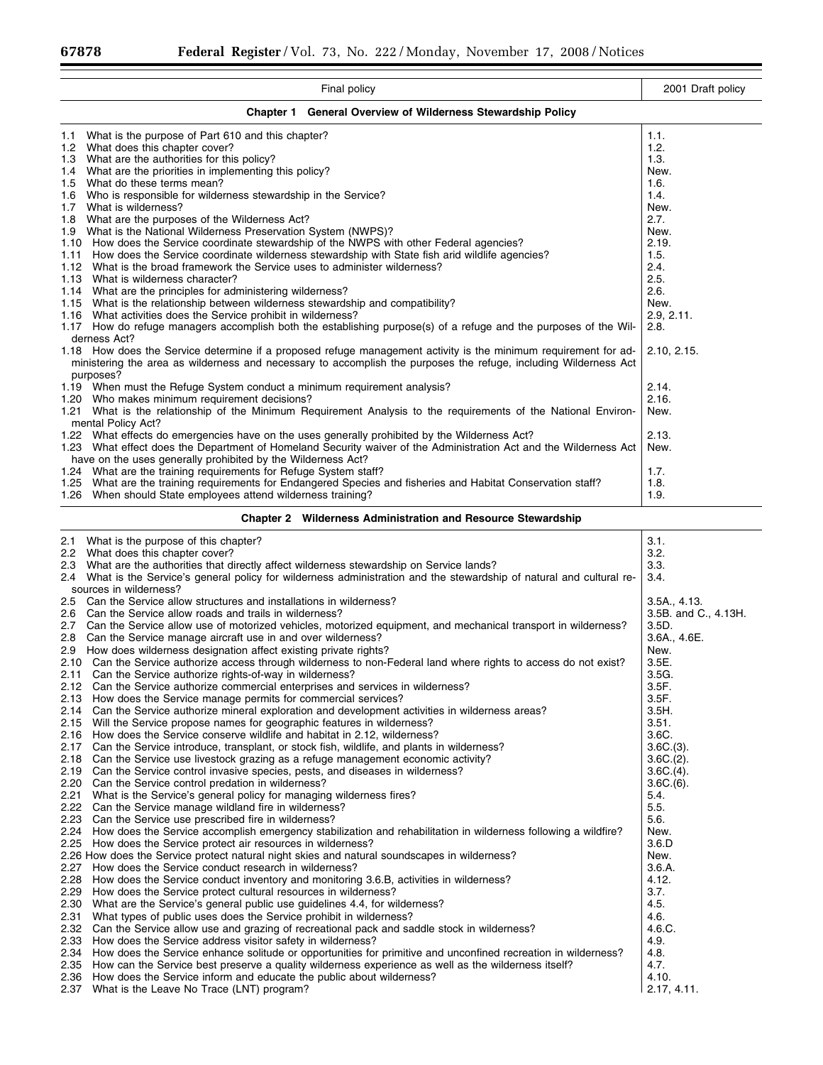| Final policy                                                                                                                                                                                                                                     | 2001 Draft policy          |  |
|--------------------------------------------------------------------------------------------------------------------------------------------------------------------------------------------------------------------------------------------------|----------------------------|--|
| <b>Chapter 1</b><br><b>General Overview of Wilderness Stewardship Policy</b>                                                                                                                                                                     |                            |  |
| What is the purpose of Part 610 and this chapter?<br>1.1                                                                                                                                                                                         | 1.1.                       |  |
| 1.2 What does this chapter cover?                                                                                                                                                                                                                | 1.2.                       |  |
| 1.3 What are the authorities for this policy?                                                                                                                                                                                                    | 1.3.                       |  |
| 1.4 What are the priorities in implementing this policy?                                                                                                                                                                                         | New.                       |  |
| 1.5 What do these terms mean?<br>1.6 Who is responsible for wilderness stewardship in the Service?                                                                                                                                               | 1.6.<br>1.4.               |  |
| 1.7 What is wilderness?                                                                                                                                                                                                                          | New.                       |  |
| 1.8 What are the purposes of the Wilderness Act?                                                                                                                                                                                                 | 2.7.                       |  |
| 1.9 What is the National Wilderness Preservation System (NWPS)?                                                                                                                                                                                  | New.                       |  |
| 1.10 How does the Service coordinate stewardship of the NWPS with other Federal agencies?                                                                                                                                                        | 2.19.                      |  |
| How does the Service coordinate wilderness stewardship with State fish arid wildlife agencies?<br>1.11                                                                                                                                           | 1.5.                       |  |
| What is the broad framework the Service uses to administer wilderness?<br>1.12                                                                                                                                                                   | 2.4.                       |  |
| 1.13 What is wilderness character?<br>What are the principles for administering wilderness?<br>1.14                                                                                                                                              | 2.5.<br>2.6.               |  |
| 1.15 What is the relationship between wilderness stewardship and compatibility?                                                                                                                                                                  | New.                       |  |
| What activities does the Service prohibit in wilderness?<br>1.16                                                                                                                                                                                 | 2.9, 2.11.                 |  |
| 1.17 How do refuge managers accomplish both the establishing purpose(s) of a refuge and the purposes of the Wil-                                                                                                                                 | 2.8.                       |  |
| derness Act?                                                                                                                                                                                                                                     |                            |  |
| 1.18 How does the Service determine if a proposed refuge management activity is the minimum requirement for ad-<br>ministering the area as wilderness and necessary to accomplish the purposes the refuge, including Wilderness Act<br>purposes? | 2.10, 2.15.                |  |
| 1.19 When must the Refuge System conduct a minimum requirement analysis?                                                                                                                                                                         | 2.14.                      |  |
| 1.20 Who makes minimum requirement decisions?                                                                                                                                                                                                    | 2.16.                      |  |
| 1.21 What is the relationship of the Minimum Requirement Analysis to the requirements of the National Environ-<br>mental Policy Act?                                                                                                             | New.                       |  |
| What effects do emergencies have on the uses generally prohibited by the Wilderness Act?<br>1.22                                                                                                                                                 | 2.13.                      |  |
| 1.23 What effect does the Department of Homeland Security waiver of the Administration Act and the Wilderness Act                                                                                                                                | New.                       |  |
| have on the uses generally prohibited by the Wilderness Act?                                                                                                                                                                                     |                            |  |
| 1.24 What are the training requirements for Refuge System staff?<br>1.25 What are the training requirements for Endangered Species and fisheries and Habitat Conservation staff?                                                                 | 1.7.<br>1.8.               |  |
| When should State employees attend wilderness training?<br>1.26                                                                                                                                                                                  | 1.9.                       |  |
| <b>Chapter 2 Wilderness Administration and Resource Stewardship</b>                                                                                                                                                                              |                            |  |
|                                                                                                                                                                                                                                                  |                            |  |
| What is the purpose of this chapter?<br>2.1<br>2.2 What does this chapter cover?                                                                                                                                                                 | 3.1.<br>3.2.               |  |
| 2.3 What are the authorities that directly affect wilderness stewardship on Service lands?                                                                                                                                                       | 3.3.                       |  |
| 2.4 What is the Service's general policy for wilderness administration and the stewardship of natural and cultural re-                                                                                                                           | 3.4.                       |  |
| sources in wilderness?                                                                                                                                                                                                                           |                            |  |
| 2.5 Can the Service allow structures and installations in wilderness?                                                                                                                                                                            | 3.5A., 4.13.               |  |
| 2.6 Can the Service allow roads and trails in wilderness?                                                                                                                                                                                        | $3.5B.$ and C., $4.13H.$   |  |
| 2.7 Can the Service allow use of motorized vehicles, motorized equipment, and mechanical transport in wilderness?                                                                                                                                | 3.5D.                      |  |
| 2.8 Can the Service manage aircraft use in and over wilderness?<br>2.9 How does wilderness designation affect existing private rights?                                                                                                           | 3.6A., 4.6E.               |  |
| 2.10 Can the Service authorize access through wilderness to non-Federal land where rights to access do not exist?                                                                                                                                | New.<br>3.5E.              |  |
| 2.11 Can the Service authorize rights-of-way in wilderness?                                                                                                                                                                                      | 3.5G.                      |  |
| 2.12<br>Can the Service authorize commercial enterprises and services in wilderness?                                                                                                                                                             | 3.5F.                      |  |
| 2.13<br>How does the Service manage permits for commercial services?                                                                                                                                                                             | 3.5F.                      |  |
| Can the Service authorize mineral exploration and development activities in wilderness areas?<br>2.14                                                                                                                                            | 3.5H.                      |  |
| Will the Service propose names for geographic features in wilderness?<br>2.15                                                                                                                                                                    | 3.51.                      |  |
| How does the Service conserve wildlife and habitat in 2.12, wilderness?<br>2.16                                                                                                                                                                  | 3.6C.                      |  |
| 2.17<br>Can the Service introduce, transplant, or stock fish, wildlife, and plants in wilderness?                                                                                                                                                | $3.6C(3)$ .<br>$3.6C(2)$ . |  |
| 2.18<br>Can the Service use livestock grazing as a refuge management economic activity?<br>Can the Service control invasive species, pests, and diseases in wilderness?<br>2.19                                                                  | $3.6C(4)$ .                |  |
| Can the Service control predation in wilderness?<br>2.20                                                                                                                                                                                         | $3.6C(6)$ .                |  |
| What is the Service's general policy for managing wilderness fires?<br>2.21                                                                                                                                                                      | 5.4.                       |  |
| Can the Service manage wildland fire in wilderness?<br>2.22                                                                                                                                                                                      | 5.5.                       |  |
| Can the Service use prescribed fire in wilderness?<br>2.23                                                                                                                                                                                       | 5.6.                       |  |
| How does the Service accomplish emergency stabilization and rehabilitation in wilderness following a wildfire?<br>2.24                                                                                                                           | New.                       |  |
| How does the Service protect air resources in wilderness?<br>2.25                                                                                                                                                                                | 3.6.D                      |  |
| 2.26 How does the Service protect natural night skies and natural soundscapes in wilderness?<br>2.27<br>How does the Service conduct research in wilderness?                                                                                     | New.<br>3.6.A.             |  |
| 2.28<br>How does the Service conduct inventory and monitoring 3.6.B, activities in wilderness?                                                                                                                                                   | 4.12.                      |  |
| 2.29<br>How does the Service protect cultural resources in wilderness?                                                                                                                                                                           | 3.7.                       |  |
| What are the Service's general public use guidelines 4.4, for wilderness?<br>2.30                                                                                                                                                                | 4.5.                       |  |
| What types of public uses does the Service prohibit in wilderness?<br>2.31                                                                                                                                                                       | 4.6.                       |  |
| 2.32<br>Can the Service allow use and grazing of recreational pack and saddle stock in wilderness?                                                                                                                                               | 4.6.C.                     |  |
| How does the Service address visitor safety in wilderness?<br>2.33                                                                                                                                                                               | 4.9.                       |  |
| How does the Service enhance solitude or opportunities for primitive and unconfined recreation in wilderness?<br>2.34<br>How can the Service best preserve a quality wilderness experience as well as the wilderness itself?<br>2.35             | 4.8.<br>4.7.               |  |
| How does the Service inform and educate the public about wilderness?<br>2.36                                                                                                                                                                     | 4.10.                      |  |

2.37 What is the Leave No Trace (LNT) program? 2.17, 4.11.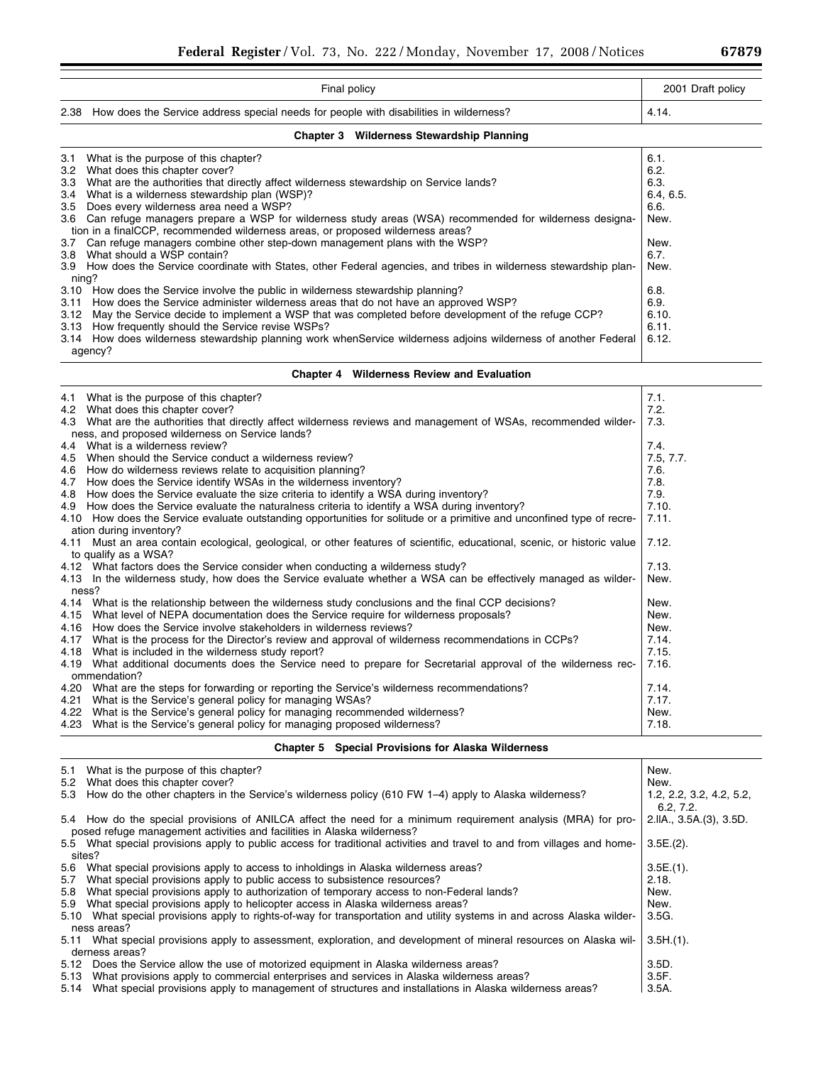| Final policy                                                                                | 2001 Draft policy |
|---------------------------------------------------------------------------------------------|-------------------|
| 2.38 How does the Service address special needs for people with disabilities in wilderness? | -4.14.            |

# **Chapter 3 Wilderness Stewardship Planning**

| 6.1.<br>6.2.<br>6.3. |
|----------------------|
|                      |
|                      |
|                      |
| 6.4, 6.5.            |
| 6.6.                 |
| New.                 |
| New.                 |
| 6.7.                 |
| New.                 |
|                      |
| 6.8.                 |
| 6.9.                 |
| 6.10.                |
| 6.11.                |
| 6.12.                |
|                      |
|                      |

# **Chapter 4 Wilderness Review and Evaluation**

|      | 4.1 What is the purpose of this chapter?                                                                                  | 7.1.      |
|------|---------------------------------------------------------------------------------------------------------------------------|-----------|
|      | 4.2 What does this chapter cover?                                                                                         | 7.2.      |
|      | 4.3 What are the authorities that directly affect wilderness reviews and management of WSAs, recommended wilder-          | 7.3.      |
|      | ness, and proposed wilderness on Service lands?                                                                           |           |
|      | 4.4 What is a wilderness review?                                                                                          | 7.4.      |
|      | 4.5 When should the Service conduct a wilderness review?                                                                  | 7.5, 7.7. |
|      | 4.6 How do wilderness reviews relate to acquisition planning?                                                             | 7.6.      |
|      | 4.7 How does the Service identify WSAs in the wilderness inventory?                                                       | 7.8.      |
|      | 4.8 How does the Service evaluate the size criteria to identify a WSA during inventory?                                   | 7.9.      |
|      | 4.9 How does the Service evaluate the naturalness criteria to identify a WSA during inventory?                            | 7.10.     |
|      | 4.10 How does the Service evaluate outstanding opportunities for solitude or a primitive and unconfined type of recre-    | 7.11.     |
|      | ation during inventory?                                                                                                   |           |
|      | 4.11 Must an area contain ecological, geological, or other features of scientific, educational, scenic, or historic value | 7.12.     |
|      | to qualify as a WSA?                                                                                                      |           |
|      | 4.12 What factors does the Service consider when conducting a wilderness study?                                           | 7.13.     |
|      | 4.13 In the wilderness study, how does the Service evaluate whether a WSA can be effectively managed as wilder-           | New.      |
|      | ness?                                                                                                                     |           |
|      | 4.14 What is the relationship between the wilderness study conclusions and the final CCP decisions?                       | New.      |
|      | 4.15 What level of NEPA documentation does the Service require for wilderness proposals?                                  | New.      |
|      | 4.16 How does the Service involve stakeholders in wilderness reviews?                                                     | New.      |
| 4.17 | What is the process for the Director's review and approval of wilderness recommendations in CCPs?                         | 7.14.     |
|      | 4.18 What is included in the wilderness study report?                                                                     | 7.15.     |
|      | 4.19 What additional documents does the Service need to prepare for Secretarial approval of the wilderness rec-           | 7.16.     |
|      | ommendation?                                                                                                              |           |
|      | 4.20 What are the steps for forwarding or reporting the Service's wilderness recommendations?                             | 7.14.     |
| 4.21 | What is the Service's general policy for managing WSAs?                                                                   | 7.17.     |
|      | 4.22 What is the Service's general policy for managing recommended wilderness?                                            | New.      |
|      | 4.23 What is the Service's general policy for managing proposed wilderness?                                               | 7.18.     |

# **Chapter 5 Special Provisions for Alaska Wilderness**

| What is the purpose of this chapter?<br>5.1                                                                                                                                              | New.                                  |
|------------------------------------------------------------------------------------------------------------------------------------------------------------------------------------------|---------------------------------------|
| 5.2 What does this chapter cover?                                                                                                                                                        | New.                                  |
| 5.3 How do the other chapters in the Service's wilderness policy (610 FW 1-4) apply to Alaska wilderness?                                                                                | 1.2, 2.2, 3.2, 4.2, 5.2,<br>6.2, 7.2. |
| 5.4 How do the special provisions of ANILCA affect the need for a minimum requirement analysis (MRA) for pro-<br>posed refuge management activities and facilities in Alaska wilderness? | 2.IIA., 3.5A.(3), 3.5D.               |
| 5.5 What special provisions apply to public access for traditional activities and travel to and from villages and home-<br>sites?                                                        | $3.5E(2)$ .                           |
| 5.6 What special provisions apply to access to inholdings in Alaska wilderness areas?                                                                                                    | $3.5E.(1)$ .                          |
| What special provisions apply to public access to subsistence resources?<br>5.7                                                                                                          | 2.18.                                 |
|                                                                                                                                                                                          |                                       |
| What special provisions apply to authorization of temporary access to non-Federal lands?<br>5.8                                                                                          | New.                                  |
| 5.9 What special provisions apply to helicopter access in Alaska wilderness areas?                                                                                                       | New.                                  |
| 5.10 What special provisions apply to rights-of-way for transportation and utility systems in and across Alaska wilder-                                                                  | 3.5G.                                 |
| ness areas?                                                                                                                                                                              |                                       |
| 5.11 What special provisions apply to assessment, exploration, and development of mineral resources on Alaska wil-<br>derness areas?                                                     | $3.5H(1)$ .                           |
| 5.12 Does the Service allow the use of motorized equipment in Alaska wilderness areas?                                                                                                   | 3.5D.                                 |
| What provisions apply to commercial enterprises and services in Alaska wilderness areas?<br>5.13                                                                                         | 3.5F.                                 |
| 5.14 What special provisions apply to management of structures and installations in Alaska wilderness areas?                                                                             | $3.5A$ .                              |

٠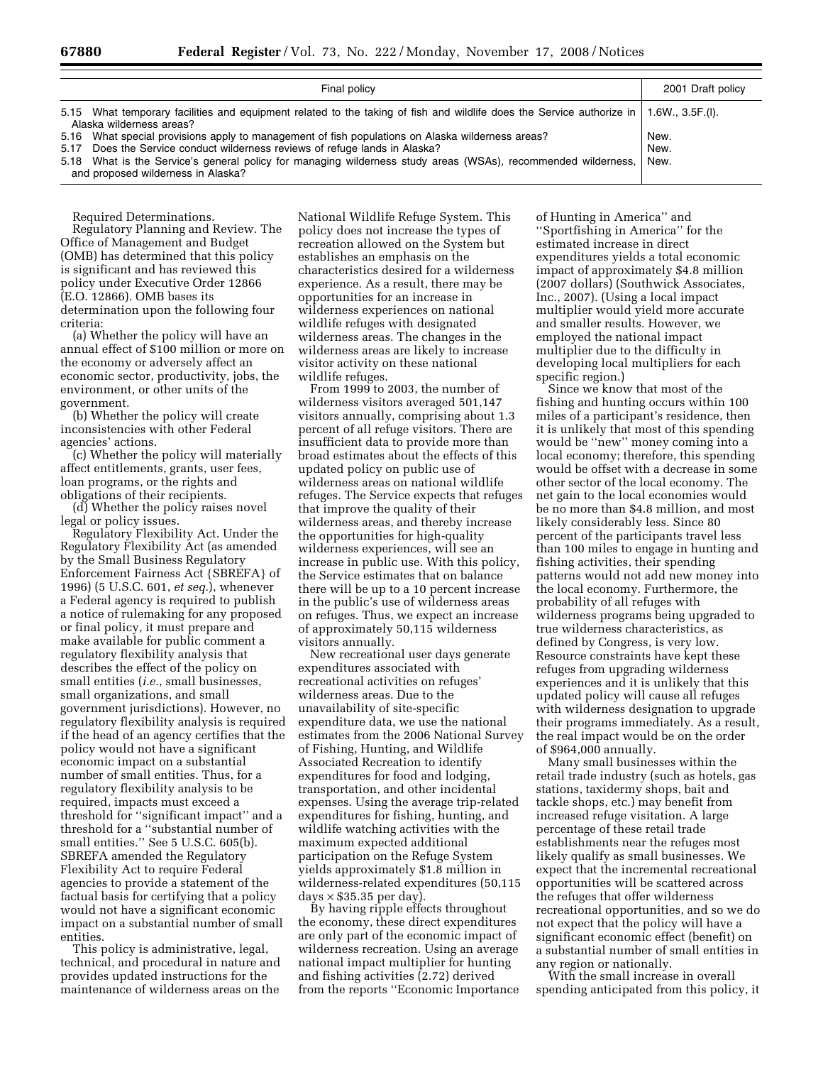| Final policy                                                                                                                                                                                                                                                                                                                           | 2001 Draft policy    |
|----------------------------------------------------------------------------------------------------------------------------------------------------------------------------------------------------------------------------------------------------------------------------------------------------------------------------------------|----------------------|
| 5.15 What temporary facilities and equipment related to the taking of fish and wildlife does the Service authorize in<br>Alaska wilderness areas?                                                                                                                                                                                      | 1.6W., 3.5F.(I).     |
| 5.16 What special provisions apply to management of fish populations on Alaska wilderness areas?<br>5.17 Does the Service conduct wilderness reviews of refuge lands in Alaska?<br>5.18 What is the Service's general policy for managing wilderness study areas (WSAs), recommended wilderness,<br>and proposed wilderness in Alaska? | New.<br>New.<br>New. |

Required Determinations.

Regulatory Planning and Review. The Office of Management and Budget (OMB) has determined that this policy is significant and has reviewed this policy under Executive Order 12866 (E.O. 12866). OMB bases its determination upon the following four criteria:

(a) Whether the policy will have an annual effect of \$100 million or more on the economy or adversely affect an economic sector, productivity, jobs, the environment, or other units of the government.

(b) Whether the policy will create inconsistencies with other Federal agencies' actions.

(c) Whether the policy will materially affect entitlements, grants, user fees, loan programs, or the rights and obligations of their recipients.

(d) Whether the policy raises novel legal or policy issues.

Regulatory Flexibility Act. Under the Regulatory Flexibility Act (as amended by the Small Business Regulatory Enforcement Fairness Act {SBREFA} of 1996) (5 U.S.C. 601, *et seq.*), whenever a Federal agency is required to publish a notice of rulemaking for any proposed or final policy, it must prepare and make available for public comment a regulatory flexibility analysis that describes the effect of the policy on small entities (*i.e.*, small businesses, small organizations, and small government jurisdictions). However, no regulatory flexibility analysis is required if the head of an agency certifies that the policy would not have a significant economic impact on a substantial number of small entities. Thus, for a regulatory flexibility analysis to be required, impacts must exceed a threshold for ''significant impact'' and a threshold for a ''substantial number of small entities.'' See 5 U.S.C. 605(b). SBREFA amended the Regulatory Flexibility Act to require Federal agencies to provide a statement of the factual basis for certifying that a policy would not have a significant economic impact on a substantial number of small entities.

This policy is administrative, legal, technical, and procedural in nature and provides updated instructions for the maintenance of wilderness areas on the

National Wildlife Refuge System. This policy does not increase the types of recreation allowed on the System but establishes an emphasis on the characteristics desired for a wilderness experience. As a result, there may be opportunities for an increase in wilderness experiences on national wildlife refuges with designated wilderness areas. The changes in the wilderness areas are likely to increase visitor activity on these national wildlife refuges.

From 1999 to 2003, the number of wilderness visitors averaged 501,147 visitors annually, comprising about 1.3 percent of all refuge visitors. There are insufficient data to provide more than broad estimates about the effects of this updated policy on public use of wilderness areas on national wildlife refuges. The Service expects that refuges that improve the quality of their wilderness areas, and thereby increase the opportunities for high-quality wilderness experiences, will see an increase in public use. With this policy, the Service estimates that on balance there will be up to a 10 percent increase in the public's use of wilderness areas on refuges. Thus, we expect an increase of approximately 50,115 wilderness visitors annually.

New recreational user days generate expenditures associated with recreational activities on refuges' wilderness areas. Due to the unavailability of site-specific expenditure data, we use the national estimates from the 2006 National Survey of Fishing, Hunting, and Wildlife Associated Recreation to identify expenditures for food and lodging, transportation, and other incidental expenses. Using the average trip-related expenditures for fishing, hunting, and wildlife watching activities with the maximum expected additional participation on the Refuge System yields approximately \$1.8 million in wilderness-related expenditures (50,115  $\text{days} \times \$35.35 \text{ per day}.$ 

By having ripple effects throughout the economy, these direct expenditures are only part of the economic impact of wilderness recreation. Using an average national impact multiplier for hunting and fishing activities (2.72) derived from the reports ''Economic Importance

of Hunting in America'' and ''Sportfishing in America'' for the estimated increase in direct expenditures yields a total economic impact of approximately \$4.8 million (2007 dollars) (Southwick Associates, Inc., 2007). (Using a local impact multiplier would yield more accurate and smaller results. However, we employed the national impact multiplier due to the difficulty in developing local multipliers for each specific region.)

Since we know that most of the fishing and hunting occurs within 100 miles of a participant's residence, then it is unlikely that most of this spending would be ''new'' money coming into a local economy; therefore, this spending would be offset with a decrease in some other sector of the local economy. The net gain to the local economies would be no more than \$4.8 million, and most likely considerably less. Since 80 percent of the participants travel less than 100 miles to engage in hunting and fishing activities, their spending patterns would not add new money into the local economy. Furthermore, the probability of all refuges with wilderness programs being upgraded to true wilderness characteristics, as defined by Congress, is very low. Resource constraints have kept these refuges from upgrading wilderness experiences and it is unlikely that this updated policy will cause all refuges with wilderness designation to upgrade their programs immediately. As a result, the real impact would be on the order of \$964,000 annually.

Many small businesses within the retail trade industry (such as hotels, gas stations, taxidermy shops, bait and tackle shops, etc.) may benefit from increased refuge visitation. A large percentage of these retail trade establishments near the refuges most likely qualify as small businesses. We expect that the incremental recreational opportunities will be scattered across the refuges that offer wilderness recreational opportunities, and so we do not expect that the policy will have a significant economic effect (benefit) on a substantial number of small entities in any region or nationally.

With the small increase in overall spending anticipated from this policy, it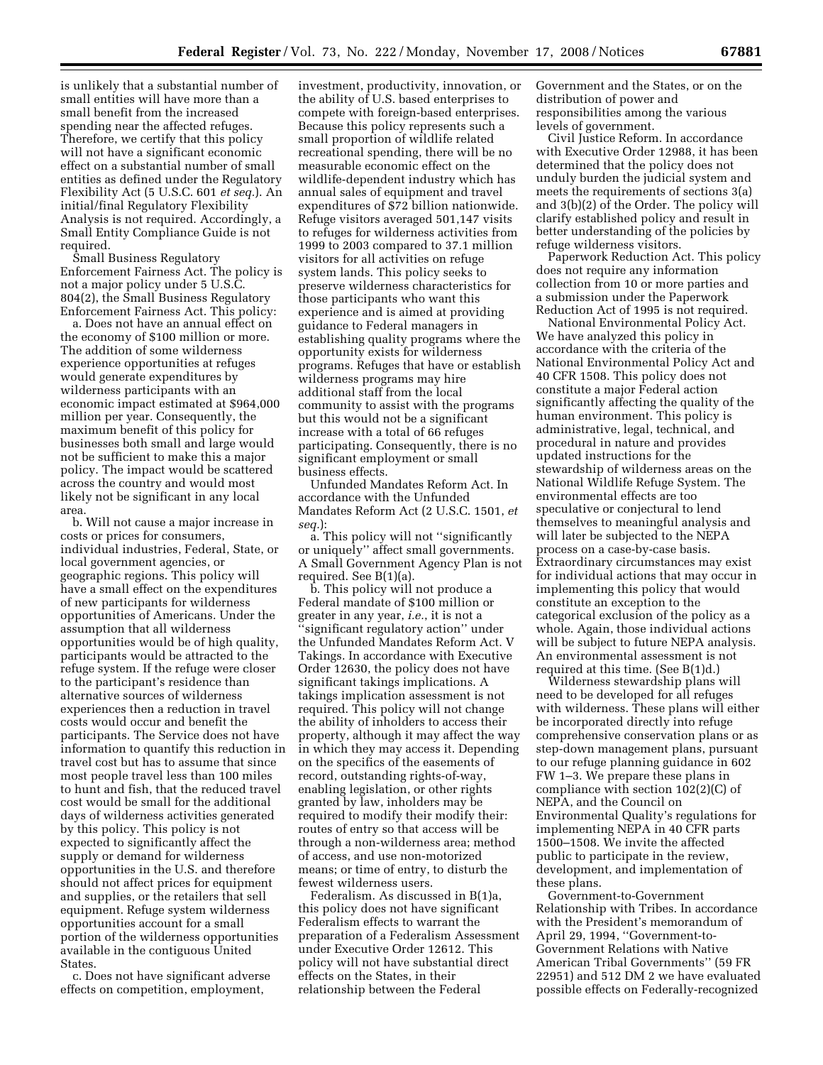is unlikely that a substantial number of small entities will have more than a small benefit from the increased spending near the affected refuges. Therefore, we certify that this policy will not have a significant economic effect on a substantial number of small entities as defined under the Regulatory Flexibility Act (5 U.S.C. 601 *et seq.*). An initial/final Regulatory Flexibility Analysis is not required. Accordingly, a Small Entity Compliance Guide is not required.

Small Business Regulatory Enforcement Fairness Act. The policy is not a major policy under 5 U.S.C. 804(2), the Small Business Regulatory Enforcement Fairness Act. This policy:

a. Does not have an annual effect on the economy of \$100 million or more. The addition of some wilderness experience opportunities at refuges would generate expenditures by wilderness participants with an economic impact estimated at \$964,000 million per year. Consequently, the maximum benefit of this policy for businesses both small and large would not be sufficient to make this a major policy. The impact would be scattered across the country and would most likely not be significant in any local area.

b. Will not cause a major increase in costs or prices for consumers, individual industries, Federal, State, or local government agencies, or geographic regions. This policy will have a small effect on the expenditures of new participants for wilderness opportunities of Americans. Under the assumption that all wilderness opportunities would be of high quality, participants would be attracted to the refuge system. If the refuge were closer to the participant's residence than alternative sources of wilderness experiences then a reduction in travel costs would occur and benefit the participants. The Service does not have information to quantify this reduction in travel cost but has to assume that since most people travel less than 100 miles to hunt and fish, that the reduced travel cost would be small for the additional days of wilderness activities generated by this policy. This policy is not expected to significantly affect the supply or demand for wilderness opportunities in the U.S. and therefore should not affect prices for equipment and supplies, or the retailers that sell equipment. Refuge system wilderness opportunities account for a small portion of the wilderness opportunities available in the contiguous United States.

c. Does not have significant adverse effects on competition, employment,

investment, productivity, innovation, or the ability of U.S. based enterprises to compete with foreign-based enterprises. Because this policy represents such a small proportion of wildlife related recreational spending, there will be no measurable economic effect on the wildlife-dependent industry which has annual sales of equipment and travel expenditures of \$72 billion nationwide. Refuge visitors averaged 501,147 visits to refuges for wilderness activities from 1999 to 2003 compared to 37.1 million visitors for all activities on refuge system lands. This policy seeks to preserve wilderness characteristics for those participants who want this experience and is aimed at providing guidance to Federal managers in establishing quality programs where the opportunity exists for wilderness programs. Refuges that have or establish wilderness programs may hire additional staff from the local community to assist with the programs but this would not be a significant increase with a total of 66 refuges participating. Consequently, there is no significant employment or small business effects.

Unfunded Mandates Reform Act. In accordance with the Unfunded Mandates Reform Act (2 U.S.C. 1501, *et seq.*):

a. This policy will not ''significantly or uniquely'' affect small governments. A Small Government Agency Plan is not required. See B(1)(a).

b. This policy will not produce a Federal mandate of \$100 million or greater in any year, *i.e.*, it is not a ''significant regulatory action'' under the Unfunded Mandates Reform Act. V Takings. In accordance with Executive Order 12630, the policy does not have significant takings implications. A takings implication assessment is not required. This policy will not change the ability of inholders to access their property, although it may affect the way in which they may access it. Depending on the specifics of the easements of record, outstanding rights-of-way, enabling legislation, or other rights granted by law, inholders may be required to modify their modify their: routes of entry so that access will be through a non-wilderness area; method of access, and use non-motorized means; or time of entry, to disturb the fewest wilderness users.

Federalism. As discussed in B(1)a, this policy does not have significant Federalism effects to warrant the preparation of a Federalism Assessment under Executive Order 12612. This policy will not have substantial direct effects on the States, in their relationship between the Federal

Government and the States, or on the distribution of power and responsibilities among the various levels of government.

Civil Justice Reform. In accordance with Executive Order 12988, it has been determined that the policy does not unduly burden the judicial system and meets the requirements of sections 3(a) and 3(b)(2) of the Order. The policy will clarify established policy and result in better understanding of the policies by refuge wilderness visitors.

Paperwork Reduction Act. This policy does not require any information collection from 10 or more parties and a submission under the Paperwork Reduction Act of 1995 is not required.

National Environmental Policy Act. We have analyzed this policy in accordance with the criteria of the National Environmental Policy Act and 40 CFR 1508. This policy does not constitute a major Federal action significantly affecting the quality of the human environment. This policy is administrative, legal, technical, and procedural in nature and provides updated instructions for the stewardship of wilderness areas on the National Wildlife Refuge System. The environmental effects are too speculative or conjectural to lend themselves to meaningful analysis and will later be subjected to the NEPA process on a case-by-case basis. Extraordinary circumstances may exist for individual actions that may occur in implementing this policy that would constitute an exception to the categorical exclusion of the policy as a whole. Again, those individual actions will be subject to future NEPA analysis. An environmental assessment is not required at this time. (See B(1)d.)

Wilderness stewardship plans will need to be developed for all refuges with wilderness. These plans will either be incorporated directly into refuge comprehensive conservation plans or as step-down management plans, pursuant to our refuge planning guidance in 602 FW 1–3. We prepare these plans in compliance with section 102(2)(C) of NEPA, and the Council on Environmental Quality's regulations for implementing NEPA in 40 CFR parts 1500–1508. We invite the affected public to participate in the review, development, and implementation of these plans.

Government-to-Government Relationship with Tribes. In accordance with the President's memorandum of April 29, 1994, ''Government-to-Government Relations with Native American Tribal Governments'' (59 FR 22951) and 512 DM 2 we have evaluated possible effects on Federally-recognized